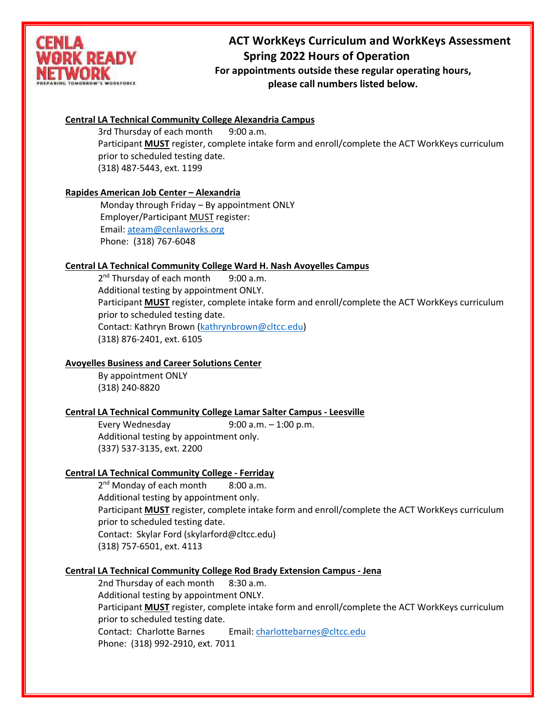

# **ACT WorkKeys Curriculum and WorkKeys Assessment Spring 2022 Hours of Operation**

**MORK** *For appointments outside these regular operating hours,* **please call numbers listed below.**

# **Central LA Technical Community College Alexandria Campus**

3rd Thursday of each month 9:00 a.m. Participant **MUST** register, complete intake form and enroll/complete the ACT WorkKeys curriculum prior to scheduled testing date. (318) 487-5443, ext. 1199

## **Rapides American Job Center – Alexandria**

Monday through Friday – By appointment ONLY Employer/Participant MUST register: Email[: ateam@cenlaworks.org](mailto:ateam@cenlaworks.org) Phone: (318) 767-6048

## **Central LA Technical Community College Ward H. Nash Avoyelles Campus**

2<sup>nd</sup> Thursday of each month 9:00 a.m. Additional testing by appointment ONLY. Participant **MUST** register, complete intake form and enroll/complete the ACT WorkKeys curriculum prior to scheduled testing date. Contact: Kathryn Brown [\(kathrynbrown@cltcc.edu\)](mailto:kathrynbrown@cltcc.edu) (318) 876-2401, ext. 6105

# **Avoyelles Business and Career Solutions Center**

By appointment ONLY (318) 240-8820

# **Central LA Technical Community College Lamar Salter Campus - Leesville**

Every Wednesday 9:00 a.m. – 1:00 p.m. Additional testing by appointment only. (337) 537-3135, ext. 2200

## **Central LA Technical Community College - Ferriday**

2<sup>nd</sup> Monday of each month 8:00 a.m. Additional testing by appointment only. Participant **MUST** register, complete intake form and enroll/complete the ACT WorkKeys curriculum prior to scheduled testing date. Contact: Skylar Ford (skylarford@cltcc.edu) (318) 757-6501, ext. 4113

## **Central LA Technical Community College Rod Brady Extension Campus - Jena**

2nd Thursday of each month 8:30 a.m. Additional testing by appointment ONLY. Participant **MUST** register, complete intake form and enroll/complete the ACT WorkKeys curriculum prior to scheduled testing date. Contact: Charlotte Barnes Email: [charlottebarnes@cltcc.edu](mailto:charlottebarnes@cltcc.edu) Phone: (318) 992-2910, ext. 7011